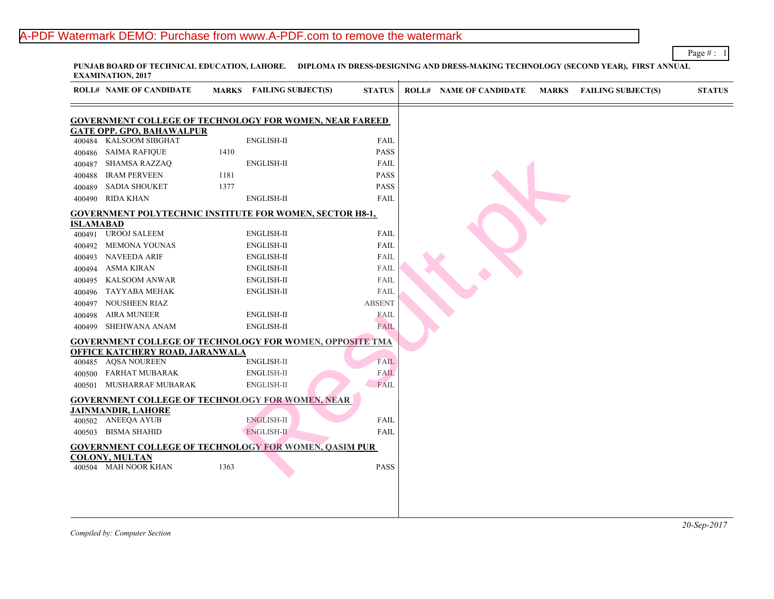# A-PDF Watermark DEMO: Purchase from www.A-PDF.com to remove the watermark

PUNJAB BOARD OF TECHNICAL EDUCATION, LAHORE. DIPLOMA IN DRESS-DESIGNING AND DRESS-MAKING TECHNOLOGY (SECOND **EXAMINATION, 2017**

|           | <b>ROLL# NAME OF CANDIDATE</b>                                  | <b>MARKS</b> | <b>FAILING SUBJECT(S)</b> | <b>STATUS</b> | <b>ROLL# NAME OF CANDIDATE</b> | <b>MARKS FAIL</b> |  |
|-----------|-----------------------------------------------------------------|--------------|---------------------------|---------------|--------------------------------|-------------------|--|
|           | <b>GOVERNMENT COLLEGE OF TECHNOLOGY FOR WOMEN, NEAR FAREED</b>  |              |                           |               |                                |                   |  |
|           | <b>GATE OPP. GPO, BAHAWALPUR</b>                                |              |                           |               |                                |                   |  |
| 400484    | <b>KALSOOM SIBGHAT</b>                                          |              | <b>ENGLISH-II</b>         | FAIL          |                                |                   |  |
| 400486    | <b>SAIMA RAFIQUE</b>                                            | 1410         |                           | <b>PASS</b>   |                                |                   |  |
| 400487    | <b>SHAMSA RAZZAQ</b>                                            |              | <b>ENGLISH-II</b>         | <b>FAIL</b>   |                                |                   |  |
| 400488    | <b>IRAM PERVEEN</b>                                             | 1181         |                           | <b>PASS</b>   |                                |                   |  |
| 400489    | <b>SADIA SHOUKET</b>                                            | 1377         |                           | <b>PASS</b>   |                                |                   |  |
| 400490    | <b>RIDA KHAN</b>                                                |              | <b>ENGLISH-II</b>         | FAIL          |                                |                   |  |
|           | <b>GOVERNMENT POLYTECHNIC INSTITUTE FOR WOMEN, SECTOR H8-1,</b> |              |                           |               |                                |                   |  |
| ISLAMABAD |                                                                 |              |                           |               |                                |                   |  |
| 400491    | <b>UROOJ SALEEM</b>                                             |              | <b>ENGLISH-II</b>         | FAIL          |                                |                   |  |
| 400492    | <b>MEMONA YOUNAS</b>                                            |              | <b>ENGLISH-II</b>         | FAIL          |                                |                   |  |
| 400493    | <b>NAVEEDA ARIF</b>                                             |              | <b>ENGLISH-II</b>         | FAIL          |                                |                   |  |
| 400494    | <b>ASMA KIRAN</b>                                               |              | <b>ENGLISH-II</b>         | FAIL          |                                |                   |  |
| 400495    | <b>KALSOOM ANWAR</b>                                            |              | <b>ENGLISH-II</b>         | FAIL          |                                |                   |  |
| 400496    | TAYYABA MEHAK                                                   |              | ENGLISH-II                | FAIL          |                                |                   |  |
| 400497    | <b>NOUSHEEN RIAZ</b>                                            |              |                           | <b>ABSENT</b> |                                |                   |  |
| 400498    | <b>AIRA MUNEER</b>                                              |              | <b>ENGLISH-II</b>         | <b>FAIL</b>   |                                |                   |  |
| 400499    | <b>SHEHWANA ANAM</b>                                            |              | <b>ENGLISH-II</b>         | <b>FAIL</b>   |                                |                   |  |
|           | <b>GOVERNMENT COLLEGE OF TECHNOLOGY FOR WOMEN, OPPOSITE TMA</b> |              |                           |               |                                |                   |  |
|           | OFFICE KATCHERY ROAD, JARANWALA                                 |              |                           |               |                                |                   |  |
| 400485    | <b>AQSA NOUREEN</b>                                             |              | <b>ENGLISH-II</b>         | FAIL          |                                |                   |  |
| 400500    | <b>FARHAT MUBARAK</b>                                           |              | ENGLISH-II                | <b>FAIL</b>   |                                |                   |  |
| 400501    | MUSHARRAF MUBARAK                                               |              | <b>ENGLISH-II</b>         | FAIL          |                                |                   |  |
|           | <b>GOVERNMENT COLLEGE OF TECHNOLOGY FOR WOMEN, NEAR</b>         |              |                           |               |                                |                   |  |
|           | <b>JAINMANDIR, LAHORE</b>                                       |              |                           |               |                                |                   |  |
|           | 400502 ANEEQA AYUB                                              |              | <b>ENGLISH-II</b>         | <b>FAIL</b>   |                                |                   |  |
| 400503    | <b>BISMA SHAHID</b>                                             |              | ENGLISH-II                | FAIL          |                                |                   |  |
|           | <b>GOVERNMENT COLLEGE OF TECHNOLOGY FOR WOMEN, QASIM PUR</b>    |              |                           |               |                                |                   |  |
|           | <b>COLONY, MULTAN</b><br>400504 MAH NOOR KHAN                   | 1363         |                           | PASS          |                                |                   |  |
|           |                                                                 |              |                           |               |                                |                   |  |
|           |                                                                 |              |                           |               |                                |                   |  |
|           |                                                                 |              |                           |               |                                |                   |  |
|           |                                                                 |              |                           |               |                                |                   |  |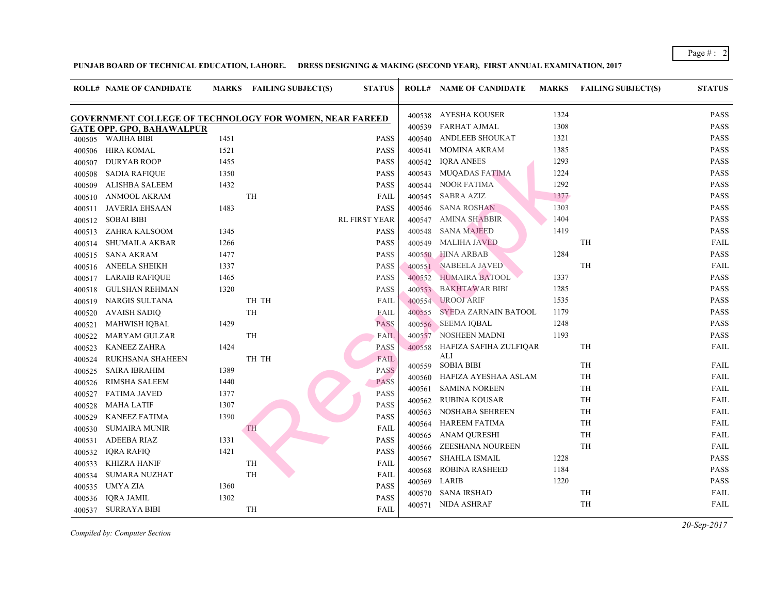|        | <b>ROLL# NAME OF CANDIDATE</b>                                 |      | MARKS FAILING SUBJECT(S) | <b>STATUS</b>        |        | <b>ROLL# NAME OF CANDIDATE</b> | <b>MARKS</b> | FAIL      |
|--------|----------------------------------------------------------------|------|--------------------------|----------------------|--------|--------------------------------|--------------|-----------|
|        | <b>GOVERNMENT COLLEGE OF TECHNOLOGY FOR WOMEN, NEAR FAREED</b> |      |                          |                      |        | 400538 AYESHA KOUSER           | 1324         |           |
|        | <b>GATE OPP. GPO, BAHAWALPUR</b>                               |      |                          |                      | 400539 | FARHAT AJMAL                   | 1308         |           |
| 400505 | WAJIHA BIBI                                                    | 1451 |                          | <b>PASS</b>          | 400540 | <b>ANDLEEB SHOUKAT</b>         | 1321         |           |
| 400506 | HIRA KOMAL                                                     | 1521 |                          | <b>PASS</b>          | 400541 | <b>MOMINA AKRAM</b>            | 1385         |           |
| 400507 | <b>DURYAB ROOP</b>                                             | 1455 |                          | <b>PASS</b>          | 400542 | <b>IQRA ANEES</b>              | 1293         |           |
| 400508 | <b>SADIA RAFIQUE</b>                                           | 1350 |                          | <b>PASS</b>          | 400543 | MUQADAS FATIMA                 | 1224         |           |
| 400509 | ALISHBA SALEEM                                                 | 1432 |                          | <b>PASS</b>          | 400544 | NOOR FATIMA                    | 1292         |           |
| 400510 | ANMOOL AKRAM                                                   |      | TH                       | <b>FAIL</b>          | 400545 | SABRA AZIZ                     | 1377         |           |
| 400511 | JAVERIA EHSAAN                                                 | 1483 |                          | <b>PASS</b>          | 400546 | SANA ROSHAN                    | 1303         |           |
| 400512 | <b>SOBAI BIBI</b>                                              |      |                          | <b>RL FIRST YEAR</b> | 400547 | <b>AMINA SHABBIR</b>           | 1404         |           |
| 400513 | ZAHRA KALSOOM                                                  | 1345 |                          | <b>PASS</b>          | 400548 | <b>SANA MAJEED</b>             | 1419         |           |
| 400514 | <b>SHUMAILA AKBAR</b>                                          | 1266 |                          | <b>PASS</b>          | 400549 | MALIHA JAVED                   |              | TH        |
| 400515 | <b>SANA AKRAM</b>                                              | 1477 |                          | <b>PASS</b>          | 400550 | <b>HINA ARBAB</b>              | 1284         |           |
| 400516 | <b>ANEELA SHEIKH</b>                                           | 1337 |                          | <b>PASS</b>          | 400551 | NABEELA JAVED                  |              | TH        |
| 400517 | <b>LARAIB RAFIQUE</b>                                          | 1465 |                          | <b>PASS</b>          | 400552 | <b>HUMAIRA BATOOL</b>          | 1337         |           |
| 400518 | <b>GULSHAN REHMAN</b>                                          | 1320 |                          | <b>PASS</b>          | 400553 | <b>BAKHTAWAR BIBI</b>          | 1285         |           |
| 400519 | NARGIS SULTANA                                                 |      | TH TH                    | FAIL                 | 400554 | <b>UROOJ ARIF</b>              | 1535         |           |
| 400520 | <b>AVAISH SADIQ</b>                                            |      | TH                       | FAIL                 | 400555 | SYEDA ZARNAIN BATOOL           | 1179         |           |
| 400521 | <b>MAHWISH IQBAL</b>                                           | 1429 |                          | <b>PASS</b>          |        | 400556 SEEMA IQBAL             | 1248         |           |
| 400522 | <b>MARYAM GULZAR</b>                                           |      | TH                       | <b>FAIL</b>          | 400557 | NOSHEEN MADNI                  | 1193         |           |
| 400523 | <b>KANEEZ ZAHRA</b>                                            | 1424 |                          | <b>PASS</b>          | 400558 | HAFIZA SAFIHA ZULFIQAR         |              | TH        |
| 400524 | RUKHSANA SHAHEEN                                               |      | TH TH                    | FAIL                 |        | ALI                            |              |           |
| 400525 | <b>SAIRA IBRAHIM</b>                                           | 1389 |                          | <b>PASS</b>          | 400559 | SOBIA BIBI                     |              | TH        |
| 400526 | RIMSHA SALEEM                                                  | 1440 |                          | <b>PASS</b>          | 400560 | HAFIZA AYESHAA ASLAM           |              | TH        |
| 400527 | <b>FATIMA JAVED</b>                                            | 1377 |                          | <b>PASS</b>          | 400561 | <b>SAMINA NOREEN</b>           |              | TH        |
| 400528 | <b>MAHA LATIF</b>                                              | 1307 |                          | <b>PASS</b>          | 400562 | RUBINA KOUSAR                  |              | TH        |
| 400529 | <b>KANEEZ FATIMA</b>                                           | 1390 |                          | <b>PASS</b>          | 400563 | <b>NOSHABA SEHREEN</b>         |              | TH        |
| 400530 | <b>SUMAIRA MUNIR</b>                                           |      | <b>TH</b>                | FAIL                 | 400564 | <b>HAREEM FATIMA</b>           |              | TH        |
| 400531 | ADEEBA RIAZ                                                    | 1331 |                          | <b>PASS</b>          | 400565 | ANAM QURESHI                   |              | <b>TH</b> |
| 400532 | <b>IORA RAFIO</b>                                              | 1421 |                          | <b>PASS</b>          | 400566 | ZEESHANA NOUREEN               |              | TH        |
| 400533 | KHIZRA HANIF                                                   |      | TH                       | FAIL                 | 400567 | <b>SHAHLA ISMAIL</b>           | 1228         |           |
| 400534 | <b>SUMARA NUZHAT</b>                                           |      | <b>TH</b>                | <b>FAIL</b>          | 400568 | <b>ROBINA RASHEED</b>          | 1184         |           |
| 400535 | UMYA ZIA                                                       | 1360 |                          | <b>PASS</b>          | 400569 | LARIB                          | 1220         |           |
| 400536 | <b>IQRA JAMIL</b>                                              | 1302 |                          | <b>PASS</b>          | 400570 | SANA IRSHAD                    |              | TH        |
| 400537 | SURRAYA BIBI                                                   |      | TH                       | <b>FAIL</b>          |        | 400571 NIDA ASHRAF             |              | TH        |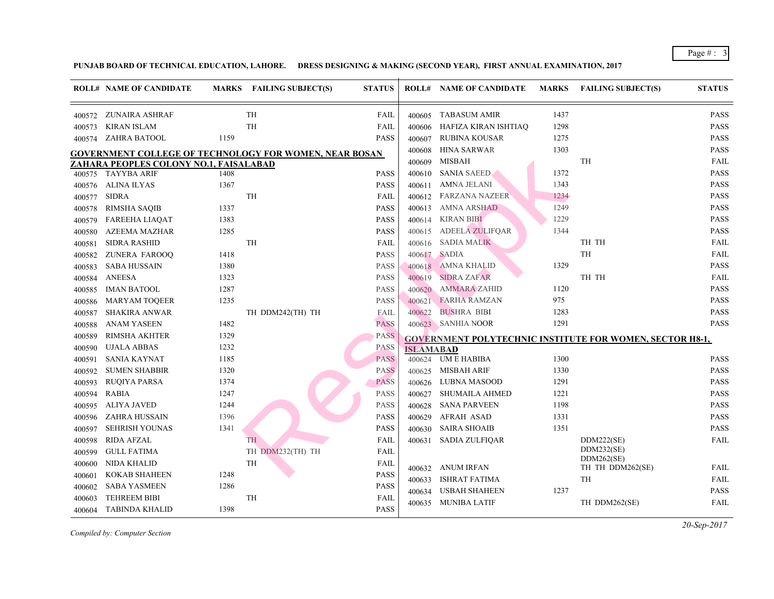|        | <b>ROLL# NAME OF CANDIDATE</b>                                                                   |      | MARKS FAILING SUBJECT(S) | <b>STATUS</b> |                  | <b>ROLL# NAME OF CANDIDATE</b>             | <b>MARKS</b> | FAIL               |
|--------|--------------------------------------------------------------------------------------------------|------|--------------------------|---------------|------------------|--------------------------------------------|--------------|--------------------|
| 400572 | ZUNAIRA ASHRAF                                                                                   |      | <b>TH</b>                | FAIL          | 400605           | <b>TABASUM AMIR</b>                        | 1437         |                    |
| 400573 | <b>KIRAN ISLAM</b>                                                                               |      | TH                       | FAIL          | 400606           | HAFIZA KIRAN ISHTIAQ                       | 1298         |                    |
| 400574 | <b>ZAHRA BATOOL</b>                                                                              | 1159 |                          | <b>PASS</b>   | 400607           | RUBINA KOUSAR                              | 1275         |                    |
|        |                                                                                                  |      |                          |               | 400608           | HINA SARWAR                                | 1303         |                    |
|        | GOVERNMENT COLLEGE OF TECHNOLOGY FOR WOMEN, NEAR BOSAN<br>ZAHARA PEOPLES COLONY NO.1, FAISALABAD |      |                          |               | 400609           | <b>MISBAH</b>                              |              | TH                 |
|        | 400575 TAYYBA ARIF                                                                               | 1408 |                          | <b>PASS</b>   | 400610           | <b>SANIA SAEED</b>                         | 1372         |                    |
| 400576 | ALINA ILYAS                                                                                      | 1367 |                          | <b>PASS</b>   | 400611           | AMNA JELANI                                | 1343         |                    |
| 400577 | <b>SIDRA</b>                                                                                     |      | TH                       | FAIL          | 400612           | FARZANA NAZEER                             | 1234         |                    |
| 400578 | <b>RIMSHA SAQIB</b>                                                                              | 1337 |                          | <b>PASS</b>   | 400613           | AMNA ARSHAD                                | 1249         |                    |
| 400579 | <b>FAREEHA LIAQAT</b>                                                                            | 1383 |                          | <b>PASS</b>   | 400614           | KIRAN BIBI                                 | 1229         |                    |
| 400580 | <b>AZEEMA MAZHAR</b>                                                                             | 1285 |                          | <b>PASS</b>   | 400615           | <b>ADEELA ZULIFQAR</b>                     | 1344         |                    |
| 400581 | <b>SIDRA RASHID</b>                                                                              |      | TH                       | FAIL          | 400616           | <b>SADIA MALIK</b>                         |              | TH 1               |
| 400582 | ZUNERA FAROOQ                                                                                    | 1418 |                          | <b>PASS</b>   | 400617           | SADIA                                      |              | TH                 |
| 400583 | <b>SABA HUSSAIN</b>                                                                              | 1380 |                          | <b>PASS</b>   | 400618           | AMNA KHALID                                | 1329         |                    |
| 400584 | <b>ANEESA</b>                                                                                    | 1323 |                          | <b>PASS</b>   | 400619           | <b>SIDRA ZAFAR</b>                         |              | TH 1               |
| 400585 | <b>IMAN BATOOL</b>                                                                               | 1287 |                          | <b>PASS</b>   | 400620           | <b>AMMARA ZAHID</b>                        | 1120         |                    |
| 400586 | <b>MARYAM TOQEER</b>                                                                             | 1235 |                          | <b>PASS</b>   | 400621           | <b>FARHA RAMZAN</b>                        | 975          |                    |
| 400587 | <b>SHAKIRA ANWAR</b>                                                                             |      | TH DDM242(TH) TH         | FAIL          | 400622           | <b>BUSHRA BIBI</b>                         | 1283         |                    |
| 400588 | <b>ANAM YASEEN</b>                                                                               | 1482 |                          | <b>PASS</b>   |                  | 400623 SANHIA NOOR                         | 1291         |                    |
| 400589 | <b>RIMSHA AKHTER</b>                                                                             | 1329 |                          | <b>PASS</b>   |                  | <b>GOVERNMENT POLYTECHNIC INSTITUTE FO</b> |              |                    |
| 400590 | <b>UJALA ABBAS</b>                                                                               | 1232 |                          | <b>PASS</b>   | <b>ISLAMABAD</b> |                                            |              |                    |
| 400591 | SANIA KAYNAT                                                                                     | 1185 |                          | <b>PASS</b>   | 400624           | <b>UM E HABIBA</b>                         | 1300         |                    |
| 400592 | <b>SUMEN SHABBIR</b>                                                                             | 1320 |                          | <b>PASS</b>   | 400625           | MISBAH ARIF                                | 1330         |                    |
| 400593 | <b>RUQIYA PARSA</b>                                                                              | 1374 |                          | <b>PASS</b>   | 400626           | LUBNA MASOOD                               | 1291         |                    |
| 400594 | <b>RABIA</b>                                                                                     | 1247 |                          | <b>PASS</b>   | 400627           | SHUMAILA AHMED                             | 1221         |                    |
| 400595 | ALIYA JAVED                                                                                      | 1244 |                          | <b>PASS</b>   | 400628           | <b>SANA PARVEEN</b>                        | 1198         |                    |
| 400596 | ZAHRA HUSSAIN                                                                                    | 1396 |                          | <b>PASS</b>   | 400629           | AFRAH ASAD                                 | 1331         |                    |
| 400597 | <b>SEHRISH YOUNAS</b>                                                                            | 1341 |                          | <b>PASS</b>   | 400630           | <b>SAIRA SHOAIB</b>                        | 1351         |                    |
| 400598 | <b>RIDA AFZAL</b>                                                                                |      | TH                       | FAIL          | 400631           | SADIA ZULFIQAR                             |              | <b>DDM</b>         |
| 400599 | <b>GULL FATIMA</b>                                                                               |      | TH DDM232(TH) TH         | <b>FAIL</b>   |                  |                                            |              | <b>DDM</b>         |
| 400600 | NIDA KHALID                                                                                      |      | TH                       | FAIL          | 400632           | ANUM IRFAN                                 |              | <b>DDM</b><br>TH 1 |
| 400601 | <b>KOKAB SHAHEEN</b>                                                                             | 1248 |                          | <b>PASS</b>   | 400633           | ISHRAT FATIMA                              |              | TH                 |
| 400602 | <b>SABA YASMEEN</b>                                                                              | 1286 |                          | <b>PASS</b>   | 400634           | <b>USBAH SHAHEEN</b>                       | 1237         |                    |
| 400603 | <b>TEHREEM BIBI</b>                                                                              |      | TH                       | FAIL          | 400635           | MUNIBA LATIF                               |              | TH D               |
| 400604 | <b>TABINDA KHALID</b>                                                                            | 1398 |                          | <b>PASS</b>   |                  |                                            |              |                    |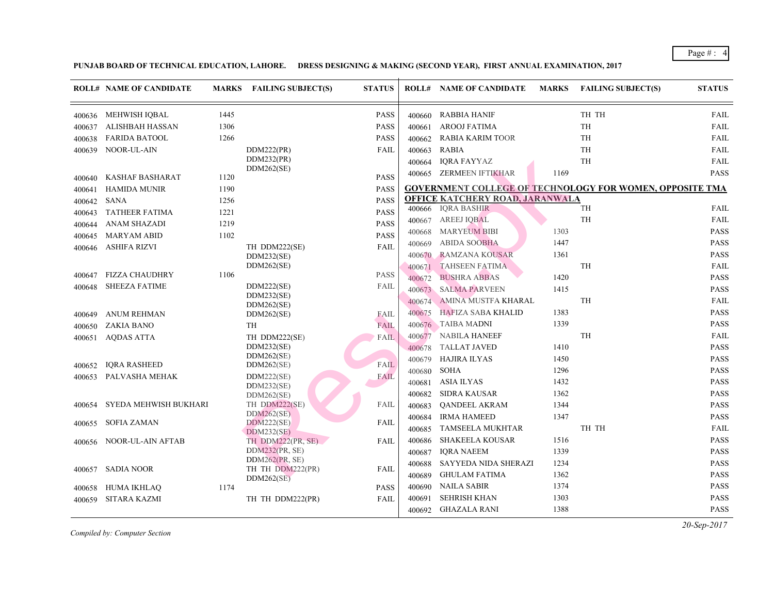|        | <b>ROLL# NAME OF CANDIDATE</b> | <b>MARKS</b> | <b>FAILING SUBJECT(S)</b>          | <b>STATUS</b> |        | <b>ROLL# NAME OF CANDIDATE</b>          | <b>MARKS</b> | FAIL            |
|--------|--------------------------------|--------------|------------------------------------|---------------|--------|-----------------------------------------|--------------|-----------------|
| 400636 | MEHWISH IQBAL                  | 1445         |                                    | PASS          | 400660 | <b>RABBIA HANIF</b>                     |              | TH 1            |
| 400637 | <b>ALISHBAH HASSAN</b>         | 1306         |                                    | <b>PASS</b>   | 400661 | AROOJ FATIMA                            |              | <b>TH</b>       |
| 400638 | <b>FARIDA BATOOL</b>           | 1266         |                                    | <b>PASS</b>   | 400662 | <b>RABIA KARIM TOOR</b>                 |              | TH              |
| 400639 | NOOR-UL-AIN                    |              | DDM222(PR)                         | <b>FAIL</b>   | 400663 | <b>RABIA</b>                            |              | <b>TH</b>       |
|        |                                |              | DDM232(PR)                         |               | 400664 | IQRA FAYYAZ                             |              | <b>TH</b>       |
| 400640 | <b>KASHAF BASHARAT</b>         | 1120         | DDM262(SE)                         | <b>PASS</b>   | 400665 | ZERMEEN IFTIKHAR                        | 1169         |                 |
| 400641 | <b>HAMIDA MUNIR</b>            | 1190         |                                    | <b>PASS</b>   |        | <b>GOVERNMENT COLLEGE OF TECHNOLOGY</b> |              |                 |
| 400642 | <b>SANA</b>                    | 1256         |                                    | <b>PASS</b>   |        | <b>OFFICE KATCHERY ROAD, JARANWALA</b>  |              |                 |
| 400643 | <b>TATHEER FATIMA</b>          | 1221         |                                    | <b>PASS</b>   |        | 400666 IQRA BASHIR                      |              | TH              |
| 400644 | <b>ANAM SHAZADI</b>            | 1219         |                                    | <b>PASS</b>   | 400667 | AREEJ IQBAL                             |              | <b>TH</b>       |
| 400645 | <b>MARYAM ABID</b>             | 1102         |                                    | <b>PASS</b>   | 400668 | <b>MARYEUM BIBI</b>                     | 1303         |                 |
| 400646 | <b>ASHIFA RIZVI</b>            |              | TH DDM222(SE)                      | <b>FAIL</b>   | 400669 | <b>ABIDA SOOBHA</b>                     | 1447         |                 |
|        |                                |              | DDM232(SE)                         |               | 400670 | <b>RAMZANA KOUSAR</b>                   | 1361         |                 |
|        |                                |              | DDM262(SE)                         |               | 400671 | <b>TAHSEEN FATIMA</b>                   |              | TH              |
| 400647 | <b>FIZZA CHAUDHRY</b>          | 1106         |                                    | <b>PASS</b>   | 400672 | <b>BUSHRA ABBAS</b>                     | 1420         |                 |
| 400648 | <b>SHEEZA FATIME</b>           |              | DDM222(SE)<br>DDM232(SE)           | FAIL          | 400673 | <b>SALMA PARVEEN</b>                    | 1415         |                 |
|        |                                |              | DDM262(SE)                         |               | 400674 | AMINA MUSTFA KHARAL                     |              | TH              |
| 400649 | <b>ANUM REHMAN</b>             |              | DDM262(SE)                         | <b>FAIL</b>   | 400675 | HAFIZA SABA KHALID                      | 1383         |                 |
| 400650 | ZAKIA BANO                     |              | TH                                 | FAIL          |        | 400676 TAIBA MADNI                      | 1339         |                 |
| 400651 | <b>AQDAS ATTA</b>              |              | TH DDM222(SE)                      | <b>FAIL</b>   | 400677 | <b>NABILA HANEEF</b>                    |              | TH              |
|        |                                |              | DDM232(SE)                         |               | 400678 | <b>TALLAT JAVED</b>                     | 1410         |                 |
|        | <b>IQRA RASHEED</b>            |              | DDM262(SE)<br>DDM262(SE)           | FAIL          | 400679 | <b>HAJIRA ILYAS</b>                     | 1450         |                 |
| 400652 | PALVASHA MEHAK                 |              | DDM222(SE)                         | <b>FAIL</b>   | 400680 | <b>SOHA</b>                             | 1296         |                 |
| 400653 |                                |              | DDM232(SE)                         |               | 400681 | <b>ASIA ILYAS</b>                       | 1432         |                 |
|        |                                |              | DDM262(SE)                         |               | 400682 | <b>SIDRA KAUSAR</b>                     | 1362         |                 |
| 400654 | SYEDA MEHWISH BUKHARI          |              | TH DDM222(SE)                      | FAIL          | 400683 | <b>QANDEEL AKRAM</b>                    | 1344         |                 |
|        | <b>SOFIA ZAMAN</b>             |              | DDM262(SE)<br>DDM222(SE)           | <b>FAIL</b>   | 400684 | <b>IRMA HAMEED</b>                      | 1347         |                 |
| 400655 |                                |              | <b>DDM232(SE)</b>                  |               | 400685 | TAMSEELA MUKHTAR                        |              | TH <sub>1</sub> |
| 400656 | NOOR-UL-AIN AFTAB              |              | TH DDM222(PR, SE)                  | FAIL          | 400686 | <b>SHAKEELA KOUSAR</b>                  | 1516         |                 |
|        |                                |              | DDM232(PR, SE)                     |               | 400687 | <b>IORA NAEEM</b>                       | 1339         |                 |
|        | <b>SADIA NOOR</b>              |              | DDM262(PR, SE)<br>TH TH DDM222(PR) | FAIL          | 400688 | SAYYEDA NIDA SHERAZI                    | 1234         |                 |
| 400657 |                                |              | DDM262(SE)                         |               | 400689 | <b>GHULAM FATIMA</b>                    | 1362         |                 |
| 400658 | HUMA IKHLAQ                    | 1174         |                                    | <b>PASS</b>   | 400690 | <b>NAILA SABIR</b>                      | 1374         |                 |
| 400659 | <b>SITARA KAZMI</b>            |              | TH TH DDM222(PR)                   | <b>FAIL</b>   | 400691 | <b>SEHRISH KHAN</b>                     | 1303         |                 |
|        |                                |              |                                    |               | 400692 | GHAZALA RANI                            | 1388         |                 |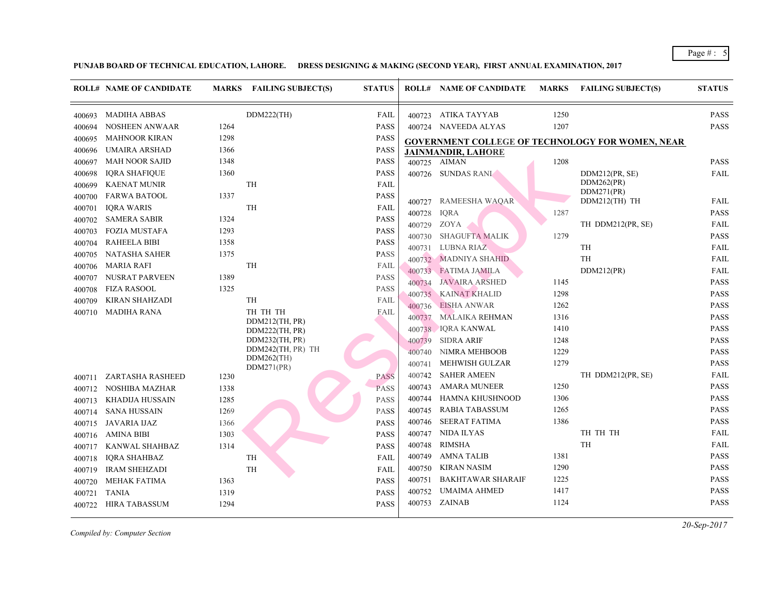|        | <b>ROLL# NAME OF CANDIDATE</b> |      | MARKS FAILING SUBJECT(S)         | <b>STATUS</b> |        | <b>ROLL# NAME OF CANDIDATE</b>          | <b>MARKS</b> | FAIL                     |
|--------|--------------------------------|------|----------------------------------|---------------|--------|-----------------------------------------|--------------|--------------------------|
| 400693 | <b>MADIHA ABBAS</b>            |      | DDM222(TH)                       | FAIL          |        | 400723 ATIKA TAYYAB                     | 1250         |                          |
| 400694 | NOSHEEN ANWAAR                 | 1264 |                                  | <b>PASS</b>   |        | 400724 NAVEEDA ALYAS                    | 1207         |                          |
| 400695 | <b>MAHNOOR KIRAN</b>           | 1298 |                                  | <b>PASS</b>   |        | <b>GOVERNMENT COLLEGE OF TECHNOLOGY</b> |              |                          |
| 400696 | UMAIRA ARSHAD                  | 1366 |                                  | <b>PASS</b>   |        | JAINMANDIR, LAHORE                      |              |                          |
| 400697 | <b>MAH NOOR SAJID</b>          | 1348 |                                  | <b>PASS</b>   |        | 400725 AIMAN                            | 1208         |                          |
| 400698 | <b>IQRA SHAFIQUE</b>           | 1360 |                                  | <b>PASS</b>   |        | 400726 SUNDAS RANI                      |              | <b>DDM</b>               |
| 400699 | <b>KAENAT MUNIR</b>            |      | TH                               | FAIL          |        |                                         |              | <b>DDM</b>               |
| 400700 | <b>FARWA BATOOL</b>            | 1337 |                                  | <b>PASS</b>   | 400727 | RAMEESHA WAQAR                          |              | <b>DDM</b><br><b>DDM</b> |
| 400701 | <b>IQRA WARIS</b>              |      | <b>TH</b>                        | FAIL          | 400728 | <b>IQRA</b>                             | 1287         |                          |
| 400702 | <b>SAMERA SABIR</b>            | 1324 |                                  | <b>PASS</b>   | 400729 | ZOYA                                    |              | TH I                     |
| 400703 | <b>FOZIA MUSTAFA</b>           | 1293 |                                  | <b>PASS</b>   | 400730 | <b>SHAGUFTA MALIK</b>                   | 1279         |                          |
| 400704 | <b>RAHEELA BIBI</b>            | 1358 |                                  | <b>PASS</b>   | 400731 | LUBNA RIAZ                              |              | TH                       |
| 400705 | NATASHA SAHER                  | 1375 |                                  | <b>PASS</b>   |        | 400732 MADNIYA SHAHID                   |              | TH                       |
| 400706 | <b>MARIA RAFI</b>              |      | TH                               | FAIL          |        | 400733 FATIMA JAMILA                    |              | <b>DDM</b>               |
| 400707 | NUSRAT PARVEEN                 | 1389 |                                  | <b>PASS</b>   | 400734 | <b>JAVAIRA ARSHED</b>                   | 1145         |                          |
| 400708 | <b>FIZA RASOOL</b>             | 1325 |                                  | <b>PASS</b>   |        | 400735 KAINAT KHALID                    | 1298         |                          |
| 400709 | <b>KIRAN SHAHZADI</b>          |      | TH                               | FAIL          | 400736 | <b>EISHA ANWAR</b>                      | 1262         |                          |
| 400710 | <b>MADIHA RANA</b>             |      | TH TH TH                         | FAIL          | 400737 | <b>MALAIKA REHMAN</b>                   | 1316         |                          |
|        |                                |      | DDM212(TH, PR)                   |               | 400738 | <b>IQRA KANWAL</b>                      | 1410         |                          |
|        |                                |      | DDM222(TH, PR)<br>DDM232(TH, PR) |               | 400739 | <b>SIDRA ARIF</b>                       | 1248         |                          |
|        |                                |      | DDM242(TH, PR) TH                |               | 400740 | NIMRA MEHBOOB                           | 1229         |                          |
|        |                                |      | $DDM262$ (TH)                    |               | 400741 | <b>MEHWISH GULZAR</b>                   | 1279         |                          |
|        |                                |      | DDM271(PR)                       |               | 400742 | <b>SAHER AMEEN</b>                      |              | TH I                     |
| 400711 | <b>ZARTASHA RASHEED</b>        | 1230 |                                  | <b>PASS</b>   | 400743 | <b>AMARA MUNEER</b>                     | 1250         |                          |
| 400712 | NOSHIBA MAZHAR                 | 1338 |                                  | <b>PASS</b>   | 400744 | HAMNA KHUSHNOOD                         | 1306         |                          |
| 400713 | KHADIJA HUSSAIN                | 1285 |                                  | <b>PASS</b>   | 400745 | <b>RABIA TABASSUM</b>                   | 1265         |                          |
| 400714 | <b>SANA HUSSAIN</b>            | 1269 |                                  | <b>PASS</b>   | 400746 | <b>SEERAT FATIMA</b>                    | 1386         |                          |
| 400715 | JAVARIA IJAZ                   | 1366 |                                  | <b>PASS</b>   | 400747 | <b>NIDA ILYAS</b>                       |              | TH <sub>1</sub>          |
| 400716 | <b>AMINA BIBI</b>              | 1303 |                                  | <b>PASS</b>   | 400748 | <b>RIMSHA</b>                           |              | <b>TH</b>                |
| 400717 | KANWAL SHAHBAZ                 | 1314 |                                  | <b>PASS</b>   | 400749 | AMNA TALIB                              | 1381         |                          |
| 400718 | IQRA SHAHBAZ                   |      | TH                               | FAIL          | 400750 | <b>KIRAN NASIM</b>                      | 1290         |                          |
| 400719 | <b>IRAM SHEHZADI</b>           |      | <b>TH</b>                        | <b>FAIL</b>   | 400751 | <b>BAKHTAWAR SHARAIF</b>                | 1225         |                          |
| 400720 | <b>MEHAK FATIMA</b>            | 1363 |                                  | <b>PASS</b>   |        | UMAIMA AHMED                            | 1417         |                          |
| 400721 | <b>TANIA</b>                   | 1319 |                                  | <b>PASS</b>   | 400752 | 400753 ZAINAB                           | 1124         |                          |
| 400722 | <b>HIRA TABASSUM</b>           | 1294 |                                  | <b>PASS</b>   |        |                                         |              |                          |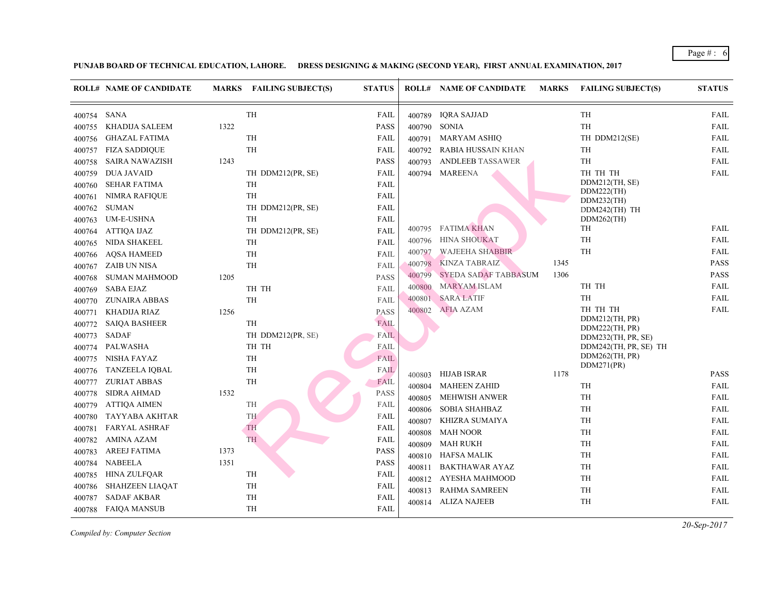|        | <b>ROLL# NAME OF CANDIDATE</b> |      | MARKS FAILING SUBJECT(S) | <b>STATUS</b> |                  | <b>ROLL# NAME OF CANDIDATE</b> | <b>MARKS</b> | FAIL                     |
|--------|--------------------------------|------|--------------------------|---------------|------------------|--------------------------------|--------------|--------------------------|
| 400754 | SANA                           |      | TH                       | <b>FAIL</b>   | 400789           | <b>IQRA SAJJAD</b>             |              | TH                       |
| 400755 | KHADIJA SALEEM                 | 1322 |                          | <b>PASS</b>   | 400790           | <b>SONIA</b>                   |              | TH                       |
| 400756 | <b>GHAZAL FATIMA</b>           |      | TH                       | FAIL          | 400791           | <b>MARYAM ASHIQ</b>            |              | TH I                     |
| 400757 | <b>FIZA SADDIQUE</b>           |      | TH                       | FAIL          | 400792           | RABIA HUSSAIN KHAN             |              | TH                       |
| 400758 | <b>SAIRA NAWAZISH</b>          | 1243 |                          | <b>PASS</b>   | 400793           | <b>ANDLEEB TASSAWER</b>        |              | TH                       |
| 400759 | <b>DUA JAVAID</b>              |      | TH DDM212(PR, SE)        | FAIL          | 400794           | <b>MAREENA</b>                 |              | TH '                     |
| 400760 | <b>SEHAR FATIMA</b>            |      | TH                       | FAIL          |                  |                                |              | <b>DDM</b>               |
| 400761 | <b>NIMRA RAFIQUE</b>           |      | TH                       | <b>FAIL</b>   |                  |                                |              | <b>DDM</b><br><b>DDM</b> |
| 400762 | <b>SUMAN</b>                   |      | TH DDM212(PR, SE)        | <b>FAIL</b>   |                  |                                |              | <b>DDM</b>               |
| 400763 | <b>UM-E-USHNA</b>              |      | TH                       | FAIL          |                  |                                |              | <b>DDM</b>               |
| 400764 | <b>ATTIQA IJAZ</b>             |      | TH DDM212(PR, SE)        | FAIL          | 400795           | <b>FATIMA KHAN</b>             |              | TH                       |
| 400765 | NIDA SHAKEEL                   |      | TH                       | FAIL          | 400796           | <b>HINA SHOUKAT</b>            |              | TH                       |
| 400766 | <b>AQSA HAMEED</b>             |      | TH                       | FAIL          | 400797           | <b>WAJEEHA SHABBIR</b>         |              | <b>TH</b>                |
| 400767 | ZAIB UN NISA                   |      | TH                       | <b>FAIL</b>   | 400798           | <b>KINZA TABRAIZ</b>           | 1345         |                          |
| 400768 | <b>SUMAN MAHMOOD</b>           | 1205 |                          | <b>PASS</b>   | 400799           | SYEDA SADAF TABBASUM           | 1306         |                          |
| 400769 | SABA EJAZ                      |      | TH TH                    | <b>FAIL</b>   | 400800           | <b>MARYAM ISLAM</b>            |              | TH 1                     |
| 400770 | <b>ZUNAIRA ABBAS</b>           |      | TH                       | FAIL          | 400801           | <b>SARA LATIF</b>              |              | <b>TH</b>                |
| 400771 | KHADIJA RIAZ                   | 1256 |                          | <b>PASS</b>   | 400802           | <b>AFIA AZAM</b>               |              | TH 1                     |
| 400772 | <b>SAIQA BASHEER</b>           |      | TH                       | <b>FAIL</b>   |                  |                                |              | <b>DDM</b><br><b>DDM</b> |
| 400773 | SADAF                          |      | TH DDM212(PR, SE)        | <b>FAIL</b>   |                  |                                |              | <b>DDM</b>               |
| 400774 | <b>PALWASHA</b>                |      | TH TH                    | FAIL          |                  |                                |              | <b>DDM</b>               |
| 400775 | NISHA FAYAZ                    |      | TH                       | FAIL          |                  |                                |              | <b>DDM</b>               |
| 400776 | <b>TANZEELA IQBAL</b>          |      | TH                       | <b>FAIL</b>   |                  | HIJAB ISRAR                    | 1178         | <b>DDM</b>               |
| 400777 | <b>ZURIAT ABBAS</b>            |      | TH                       | <b>FAIL</b>   | 400803<br>400804 | <b>MAHEEN ZAHID</b>            |              | TH                       |
| 400778 | <b>SIDRA AHMAD</b>             | 1532 |                          | <b>PASS</b>   |                  | <b>MEHWISH ANWER</b>           |              | TH                       |
| 400779 | <b>ATTIQA AIMEN</b>            |      | TH                       | <b>FAIL</b>   | 400805           | <b>SOBIA SHAHBAZ</b>           |              | TH                       |
| 400780 | <b>TAYYABA AKHTAR</b>          |      | TH                       | FAIL          | 400806           | KHIZRA SUMAIYA                 |              | TH                       |
| 400781 | <b>FARYAL ASHRAF</b>           |      | TH                       | FAIL          | 400807           | <b>MAH NOOR</b>                |              | TH                       |
| 400782 | <b>AMINA AZAM</b>              |      | TH                       | FAIL          | 400808           |                                |              |                          |
| 400783 | <b>AREEJ FATIMA</b>            | 1373 |                          | <b>PASS</b>   | 400809           | <b>MAH RUKH</b>                |              | TH                       |
| 400784 | <b>NABEELA</b>                 | 1351 |                          | <b>PASS</b>   | 400810           | <b>HAFSA MALIK</b>             |              | TH                       |
| 400785 | <b>HINA ZULFQAR</b>            |      | TH                       | FAIL          | 400811           | <b>BAKTHAWAR AYAZ</b>          |              | TH                       |
| 400786 | <b>SHAHZEEN LIAQAT</b>         |      | TH                       | FAIL          | 400812           | AYESHA MAHMOOD                 |              | TH                       |
| 400787 | <b>SADAF AKBAR</b>             |      | TH                       | FAIL          | 400813           | <b>RAHMA SAMREEN</b>           |              | TH                       |
| 400788 | <b>FAIQA MANSUB</b>            |      | TH                       | FAIL          | 400814           | <b>ALIZA NAJEEB</b>            |              | TH                       |
|        |                                |      |                          |               |                  |                                |              |                          |